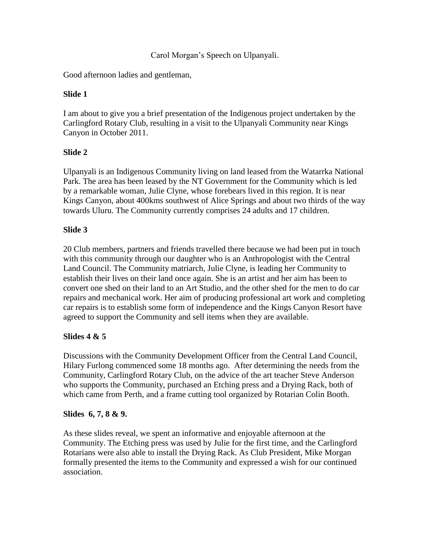#### Carol Morgan's Speech on Ulpanyali.

Good afternoon ladies and gentleman,

## **Slide 1**

I am about to give you a brief presentation of the Indigenous project undertaken by the Carlingford Rotary Club, resulting in a visit to the Ulpanyali Community near Kings Canyon in October 2011.

# **Slide 2**

Ulpanyali is an Indigenous Community living on land leased from the Watarrka National Park. The area has been leased by the NT Government for the Community which is led by a remarkable woman, Julie Clyne, whose forebears lived in this region. It is near Kings Canyon, about 400kms southwest of Alice Springs and about two thirds of the way towards Uluru. The Community currently comprises 24 adults and 17 children.

# **Slide 3**

20 Club members, partners and friends travelled there because we had been put in touch with this community through our daughter who is an Anthropologist with the Central Land Council. The Community matriarch, Julie Clyne, is leading her Community to establish their lives on their land once again. She is an artist and her aim has been to convert one shed on their land to an Art Studio, and the other shed for the men to do car repairs and mechanical work. Her aim of producing professional art work and completing car repairs is to establish some form of independence and the Kings Canyon Resort have agreed to support the Community and sell items when they are available.

## **Slides 4 & 5**

Discussions with the Community Development Officer from the Central Land Council, Hilary Furlong commenced some 18 months ago. After determining the needs from the Community, Carlingford Rotary Club, on the advice of the art teacher Steve Anderson who supports the Community, purchased an Etching press and a Drying Rack, both of which came from Perth, and a frame cutting tool organized by Rotarian Colin Booth.

## **Slides 6, 7, 8 & 9.**

As these slides reveal, we spent an informative and enjoyable afternoon at the Community. The Etching press was used by Julie for the first time, and the Carlingford Rotarians were also able to install the Drying Rack. As Club President, Mike Morgan formally presented the items to the Community and expressed a wish for our continued association.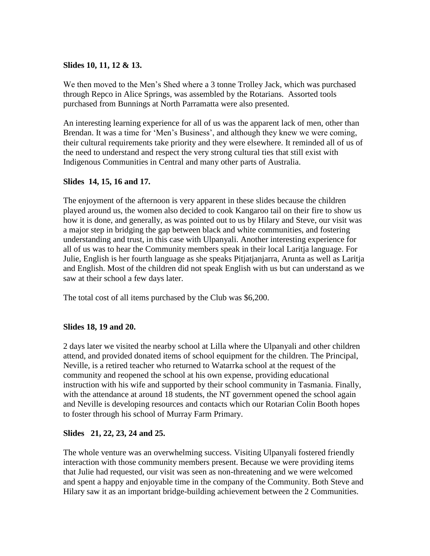#### **Slides 10, 11, 12 & 13.**

We then moved to the Men's Shed where a 3 tonne Trolley Jack, which was purchased through Repco in Alice Springs, was assembled by the Rotarians. Assorted tools purchased from Bunnings at North Parramatta were also presented.

An interesting learning experience for all of us was the apparent lack of men, other than Brendan. It was a time for 'Men's Business', and although they knew we were coming, their cultural requirements take priority and they were elsewhere. It reminded all of us of the need to understand and respect the very strong cultural ties that still exist with Indigenous Communities in Central and many other parts of Australia.

#### **Slides 14, 15, 16 and 17.**

The enjoyment of the afternoon is very apparent in these slides because the children played around us, the women also decided to cook Kangaroo tail on their fire to show us how it is done, and generally, as was pointed out to us by Hilary and Steve, our visit was a major step in bridging the gap between black and white communities, and fostering understanding and trust, in this case with Ulpanyali. Another interesting experience for all of us was to hear the Community members speak in their local Laritja language. For Julie, English is her fourth language as she speaks Pitjatjanjarra, Arunta as well as Laritja and English. Most of the children did not speak English with us but can understand as we saw at their school a few days later.

The total cost of all items purchased by the Club was \$6,200.

#### **Slides 18, 19 and 20.**

2 days later we visited the nearby school at Lilla where the Ulpanyali and other children attend, and provided donated items of school equipment for the children. The Principal, Neville, is a retired teacher who returned to Watarrka school at the request of the community and reopened the school at his own expense, providing educational instruction with his wife and supported by their school community in Tasmania. Finally, with the attendance at around 18 students, the NT government opened the school again and Neville is developing resources and contacts which our Rotarian Colin Booth hopes to foster through his school of Murray Farm Primary.

## **Slides 21, 22, 23, 24 and 25.**

The whole venture was an overwhelming success. Visiting Ulpanyali fostered friendly interaction with those community members present. Because we were providing items that Julie had requested, our visit was seen as non-threatening and we were welcomed and spent a happy and enjoyable time in the company of the Community. Both Steve and Hilary saw it as an important bridge-building achievement between the 2 Communities.